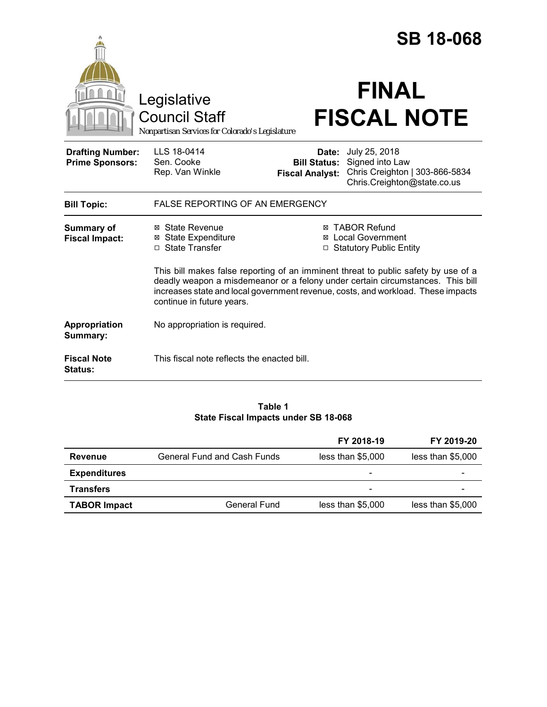|                                                   |                                                                                                                                                                                                                                                                                       |                                                        | <b>SB 18-068</b>                                                                                  |  |
|---------------------------------------------------|---------------------------------------------------------------------------------------------------------------------------------------------------------------------------------------------------------------------------------------------------------------------------------------|--------------------------------------------------------|---------------------------------------------------------------------------------------------------|--|
|                                                   | Legislative<br><b>Council Staff</b><br>Nonpartisan Services for Colorado's Legislature                                                                                                                                                                                                |                                                        | <b>FINAL</b><br><b>FISCAL NOTE</b>                                                                |  |
| <b>Drafting Number:</b><br><b>Prime Sponsors:</b> | LLS 18-0414<br>Sen. Cooke<br>Rep. Van Winkle                                                                                                                                                                                                                                          | Date:<br><b>Bill Status:</b><br><b>Fiscal Analyst:</b> | July 25, 2018<br>Signed into Law<br>Chris Creighton   303-866-5834<br>Chris.Creighton@state.co.us |  |
| <b>Bill Topic:</b>                                | <b>FALSE REPORTING OF AN EMERGENCY</b>                                                                                                                                                                                                                                                |                                                        |                                                                                                   |  |
| <b>Summary of</b><br><b>Fiscal Impact:</b>        | ⊠ State Revenue<br><b>State Expenditure</b><br>⊠<br>□ State Transfer                                                                                                                                                                                                                  |                                                        | <b>⊠ TABOR Refund</b><br><b>⊠</b> Local Government<br>□ Statutory Public Entity                   |  |
|                                                   | This bill makes false reporting of an imminent threat to public safety by use of a<br>deadly weapon a misdemeanor or a felony under certain circumstances. This bill<br>increases state and local government revenue, costs, and workload. These impacts<br>continue in future years. |                                                        |                                                                                                   |  |
| Appropriation<br>Summary:                         | No appropriation is required.                                                                                                                                                                                                                                                         |                                                        |                                                                                                   |  |
| <b>Fiscal Note</b><br><b>Status:</b>              | This fiscal note reflects the enacted bill.                                                                                                                                                                                                                                           |                                                        |                                                                                                   |  |

### **Table 1 State Fiscal Impacts under SB 18-068**

|                     |                                    | FY 2018-19               | FY 2019-20        |
|---------------------|------------------------------------|--------------------------|-------------------|
| Revenue             | <b>General Fund and Cash Funds</b> | less than \$5,000        | less than \$5,000 |
| <b>Expenditures</b> |                                    | $\overline{\phantom{0}}$ |                   |
| <b>Transfers</b>    |                                    |                          |                   |
| <b>TABOR Impact</b> | <b>General Fund</b>                | less than \$5,000        | less than \$5,000 |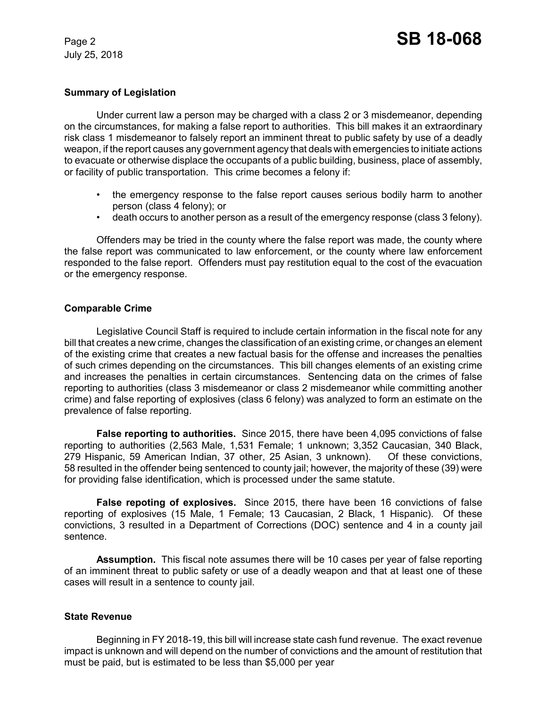# **Summary of Legislation**

Under current law a person may be charged with a class 2 or 3 misdemeanor, depending on the circumstances, for making a false report to authorities. This bill makes it an extraordinary risk class 1 misdemeanor to falsely report an imminent threat to public safety by use of a deadly weapon, if the report causes any government agency that deals with emergencies to initiate actions to evacuate or otherwise displace the occupants of a public building, business, place of assembly, or facility of public transportation. This crime becomes a felony if:

- the emergency response to the false report causes serious bodily harm to another person (class 4 felony); or
- death occurs to another person as a result of the emergency response (class 3 felony).

Offenders may be tried in the county where the false report was made, the county where the false report was communicated to law enforcement, or the county where law enforcement responded to the false report. Offenders must pay restitution equal to the cost of the evacuation or the emergency response.

# **Comparable Crime**

Legislative Council Staff is required to include certain information in the fiscal note for any bill that creates a new crime, changes the classification of an existing crime, or changes an element of the existing crime that creates a new factual basis for the offense and increases the penalties of such crimes depending on the circumstances. This bill changes elements of an existing crime and increases the penalties in certain circumstances. Sentencing data on the crimes of false reporting to authorities (class 3 misdemeanor or class 2 misdemeanor while committing another crime) and false reporting of explosives (class 6 felony) was analyzed to form an estimate on the prevalence of false reporting.

**False reporting to authorities.** Since 2015, there have been 4,095 convictions of false reporting to authorities (2,563 Male, 1,531 Female; 1 unknown; 3,352 Caucasian, 340 Black, 279 Hispanic, 59 American Indian, 37 other, 25 Asian, 3 unknown). Of these convictions, 58 resulted in the offender being sentenced to county jail; however, the majority of these (39) were for providing false identification, which is processed under the same statute.

**False repoting of explosives.** Since 2015, there have been 16 convictions of false reporting of explosives (15 Male, 1 Female; 13 Caucasian, 2 Black, 1 Hispanic). Of these convictions, 3 resulted in a Department of Corrections (DOC) sentence and 4 in a county jail sentence.

**Assumption.** This fiscal note assumes there will be 10 cases per year of false reporting of an imminent threat to public safety or use of a deadly weapon and that at least one of these cases will result in a sentence to county jail.

### **State Revenue**

Beginning in FY 2018-19, this bill will increase state cash fund revenue. The exact revenue impact is unknown and will depend on the number of convictions and the amount of restitution that must be paid, but is estimated to be less than \$5,000 per year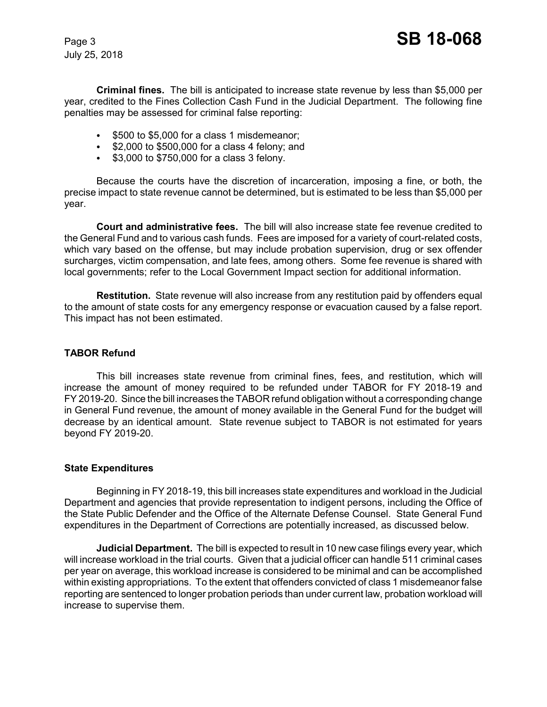**Criminal fines.** The bill is anticipated to increase state revenue by less than \$5,000 per year, credited to the Fines Collection Cash Fund in the Judicial Department. The following fine penalties may be assessed for criminal false reporting:

- $\cdot$  \$500 to \$5,000 for a class 1 misdemeanor;
- $\bullet$  \$2,000 to \$500,000 for a class 4 felony; and
- $\cdot$  \$3,000 to \$750,000 for a class 3 felony.

Because the courts have the discretion of incarceration, imposing a fine, or both, the precise impact to state revenue cannot be determined, but is estimated to be less than \$5,000 per year.

**Court and administrative fees.** The bill will also increase state fee revenue credited to the General Fund and to various cash funds. Fees are imposed for a variety of court-related costs, which vary based on the offense, but may include probation supervision, drug or sex offender surcharges, victim compensation, and late fees, among others. Some fee revenue is shared with local governments; refer to the Local Government Impact section for additional information.

**Restitution.** State revenue will also increase from any restitution paid by offenders equal to the amount of state costs for any emergency response or evacuation caused by a false report. This impact has not been estimated.

# **TABOR Refund**

This bill increases state revenue from criminal fines, fees, and restitution, which will increase the amount of money required to be refunded under TABOR for FY 2018-19 and FY 2019-20. Since the bill increases the TABOR refund obligation without a corresponding change in General Fund revenue, the amount of money available in the General Fund for the budget will decrease by an identical amount. State revenue subject to TABOR is not estimated for years beyond FY 2019-20.

### **State Expenditures**

Beginning in FY 2018-19, this bill increases state expenditures and workload in the Judicial Department and agencies that provide representation to indigent persons, including the Office of the State Public Defender and the Office of the Alternate Defense Counsel. State General Fund expenditures in the Department of Corrections are potentially increased, as discussed below.

**Judicial Department.** The bill is expected to result in 10 new case filings every year, which will increase workload in the trial courts. Given that a judicial officer can handle 511 criminal cases per year on average, this workload increase is considered to be minimal and can be accomplished within existing appropriations. To the extent that offenders convicted of class 1 misdemeanor false reporting are sentenced to longer probation periods than under current law, probation workload will increase to supervise them.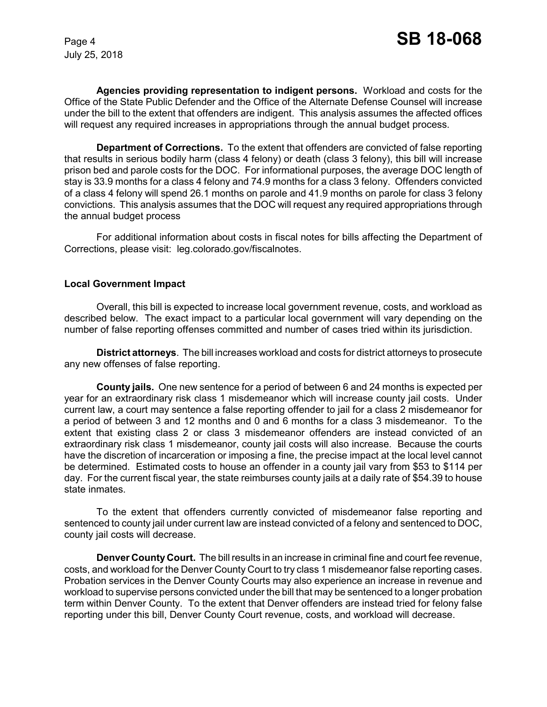**Agencies providing representation to indigent persons.** Workload and costs for the Office of the State Public Defender and the Office of the Alternate Defense Counsel will increase under the bill to the extent that offenders are indigent. This analysis assumes the affected offices will request any required increases in appropriations through the annual budget process.

**Department of Corrections.** To the extent that offenders are convicted of false reporting that results in serious bodily harm (class 4 felony) or death (class 3 felony), this bill will increase prison bed and parole costs for the DOC. For informational purposes, the average DOC length of stay is 33.9 months for a class 4 felony and 74.9 months for a class 3 felony. Offenders convicted of a class 4 felony will spend 26.1 months on parole and 41.9 months on parole for class 3 felony convictions. This analysis assumes that the DOC will request any required appropriations through the annual budget process

For additional information about costs in fiscal notes for bills affecting the Department of Corrections, please visit: leg.colorado.gov/fiscalnotes.

### **Local Government Impact**

Overall, this bill is expected to increase local government revenue, costs, and workload as described below. The exact impact to a particular local government will vary depending on the number of false reporting offenses committed and number of cases tried within its jurisdiction.

**District attorneys**. The bill increases workload and costs for district attorneys to prosecute any new offenses of false reporting.

**County jails.** One new sentence for a period of between 6 and 24 months is expected per year for an extraordinary risk class 1 misdemeanor which will increase county jail costs. Under current law, a court may sentence a false reporting offender to jail for a class 2 misdemeanor for a period of between 3 and 12 months and 0 and 6 months for a class 3 misdemeanor. To the extent that existing class 2 or class 3 misdemeanor offenders are instead convicted of an extraordinary risk class 1 misdemeanor, county jail costs will also increase. Because the courts have the discretion of incarceration or imposing a fine, the precise impact at the local level cannot be determined. Estimated costs to house an offender in a county jail vary from \$53 to \$114 per day. For the current fiscal year, the state reimburses county jails at a daily rate of \$54.39 to house state inmates.

To the extent that offenders currently convicted of misdemeanor false reporting and sentenced to county jail under current law are instead convicted of a felony and sentenced to DOC, county jail costs will decrease.

**Denver County Court.** The bill results in an increase in criminal fine and court fee revenue, costs, and workload for the Denver County Court to try class 1 misdemeanor false reporting cases. Probation services in the Denver County Courts may also experience an increase in revenue and workload to supervise persons convicted under the bill that may be sentenced to a longer probation term within Denver County. To the extent that Denver offenders are instead tried for felony false reporting under this bill, Denver County Court revenue, costs, and workload will decrease.